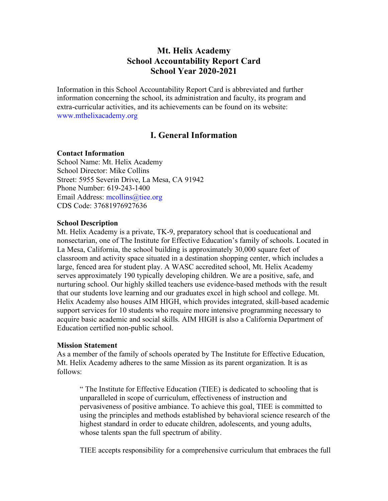# **Mt. Helix Academy School Accountability Report Card School Year 2020-2021**

Information in this School Accountability Report Card is abbreviated and further information concerning the school, its administration and faculty, its program and extra-curricular activities, and its achievements can be found on its website: www.mthelixacademy.org

# **I. General Information**

## **Contact Information**

School Name: Mt. Helix Academy School Director: Mike Collins Street: 5955 Severin Drive, La Mesa, CA 91942 Phone Number: 619-243-1400 Email Address: mcollins@tiee.org CDS Code: 37681976927636

#### **School Description**

Mt. Helix Academy is a private, TK-9, preparatory school that is coeducational and nonsectarian, one of The Institute for Effective Education's family of schools. Located in La Mesa, California, the school building is approximately 30,000 square feet of classroom and activity space situated in a destination shopping center, which includes a large, fenced area for student play. A WASC accredited school, Mt. Helix Academy serves approximately 190 typically developing children. We are a positive, safe, and nurturing school. Our highly skilled teachers use evidence-based methods with the result that our students love learning and our graduates excel in high school and college. Mt. Helix Academy also houses AIM HIGH, which provides integrated, skill-based academic support services for 10 students who require more intensive programming necessary to acquire basic academic and social skills. AIM HIGH is also a California Department of Education certified non-public school.

#### **Mission Statement**

As a member of the family of schools operated by The Institute for Effective Education, Mt. Helix Academy adheres to the same Mission as its parent organization. It is as follows:

" The Institute for Effective Education (TIEE) is dedicated to schooling that is unparalleled in scope of curriculum, effectiveness of instruction and pervasiveness of positive ambiance. To achieve this goal, TIEE is committed to using the principles and methods established by behavioral science research of the highest standard in order to educate children, adolescents, and young adults, whose talents span the full spectrum of ability.

TIEE accepts responsibility for a comprehensive curriculum that embraces the full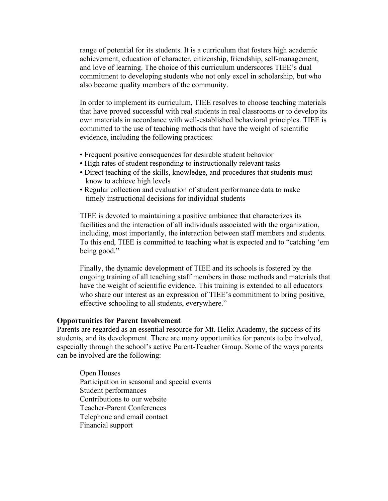range of potential for its students. It is a curriculum that fosters high academic achievement, education of character, citizenship, friendship, self-management, and love of learning. The choice of this curriculum underscores TIEE's dual commitment to developing students who not only excel in scholarship, but who also become quality members of the community.

In order to implement its curriculum, TIEE resolves to choose teaching materials that have proved successful with real students in real classrooms or to develop its own materials in accordance with well-established behavioral principles. TIEE is committed to the use of teaching methods that have the weight of scientific evidence, including the following practices:

- Frequent positive consequences for desirable student behavior
- High rates of student responding to instructionally relevant tasks
- Direct teaching of the skills, knowledge, and procedures that students must know to achieve high levels
- Regular collection and evaluation of student performance data to make timely instructional decisions for individual students

TIEE is devoted to maintaining a positive ambiance that characterizes its facilities and the interaction of all individuals associated with the organization, including, most importantly, the interaction between staff members and students. To this end, TIEE is committed to teaching what is expected and to "catching 'em being good."

Finally, the dynamic development of TIEE and its schools is fostered by the ongoing training of all teaching staff members in those methods and materials that have the weight of scientific evidence. This training is extended to all educators who share our interest as an expression of TIEE's commitment to bring positive, effective schooling to all students, everywhere."

#### **Opportunities for Parent Involvement**

Parents are regarded as an essential resource for Mt. Helix Academy, the success of its students, and its development. There are many opportunities for parents to be involved, especially through the school's active Parent-Teacher Group. Some of the ways parents can be involved are the following:

Open Houses Participation in seasonal and special events Student performances Contributions to our website Teacher-Parent Conferences Telephone and email contact Financial support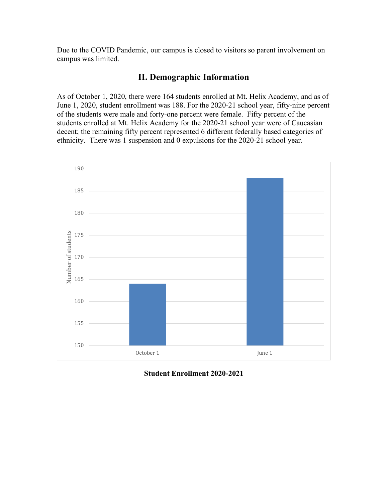Due to the COVID Pandemic, our campus is closed to visitors so parent involvement on campus was limited.

# **II. Demographic Information**

As of October 1, 2020, there were 164 students enrolled at Mt. Helix Academy, and as of June 1, 2020, student enrollment was 188. For the 2020-21 school year, fifty-nine percent of the students were male and forty-one percent were female. Fifty percent of the students enrolled at Mt. Helix Academy for the 2020-21 school year were of Caucasian decent; the remaining fifty percent represented 6 different federally based categories of ethnicity. There was 1 suspension and 0 expulsions for the 2020-21 school year.



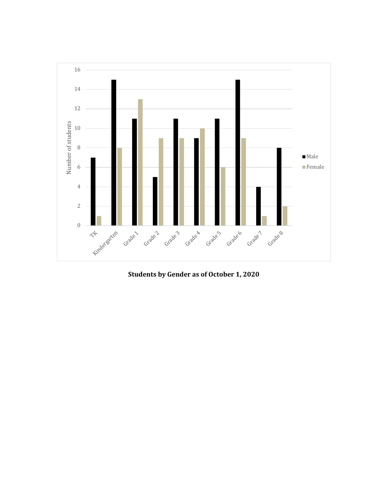

**Students by Gender as of October 1, 2020**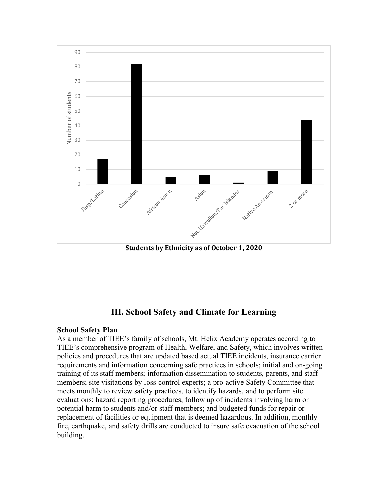

**Students by Ethnicity as of October 1, 2020** 

# **III. School Safety and Climate for Learning**

## **School Safety Plan**

As a member of TIEE's family of schools, Mt. Helix Academy operates according to TIEE's comprehensive program of Health, Welfare, and Safety, which involves written policies and procedures that are updated based actual TIEE incidents, insurance carrier requirements and information concerning safe practices in schools; initial and on-going training of its staff members; information dissemination to students, parents, and staff members; site visitations by loss-control experts; a pro-active Safety Committee that meets monthly to review safety practices, to identify hazards, and to perform site evaluations; hazard reporting procedures; follow up of incidents involving harm or potential harm to students and/or staff members; and budgeted funds for repair or replacement of facilities or equipment that is deemed hazardous. In addition, monthly fire, earthquake, and safety drills are conducted to insure safe evacuation of the school building.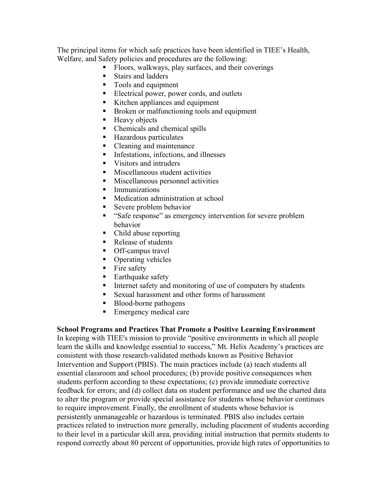The principal items for which safe practices have been identified in TIEE's Health, Welfare, and Safety policies and procedures are the following:

- Floors, walkways, play surfaces, and their coverings
- Stairs and ladders
- Tools and equipment
- Electrical power, power cords, and outlets
- Kitchen appliances and equipment
- Broken or malfunctioning tools and equipment
- Heavy objects
- Chemicals and chemical spills
- Hazardous particulates
- Cleaning and maintenance
- Infestations, infections, and illnesses
- Visitors and intruders
- Miscellaneous student activities
- Miscellaneous personnel activities
- § Immunizations
- Medication administration at school
- Severe problem behavior
- "Safe response" as emergency intervention for severe problem behavior
- Child abuse reporting
- Release of students
- Off-campus travel
- Operating vehicles
- Fire safety
- Earthquake safety
- Internet safety and monitoring of use of computers by students
- Sexual harassment and other forms of harassment
- Blood-borne pathogens
- Emergency medical care

## **School Programs and Practices That Promote a Positive Learning Environment**

In keeping with TIEE's mission to provide "positive environments in which all people learn the skills and knowledge essential to success," Mt. Helix Academy's practices are consistent with those research-validated methods known as Positive Behavior Intervention and Support (PBIS). The main practices include (a) teach students all essential classroom and school procedures; (b) provide positive consequences when students perform according to these expectations; (c) provide immediate corrective feedback for errors; and (d) collect data on student performance and use the charted data to alter the program or provide special assistance for students whose behavior continues to require improvement. Finally, the enrollment of students whose behavior is persistently unmanageable or hazardous is terminated. PBIS also includes certain practices related to instruction more generally, including placement of students according to their level in a particular skill area, providing initial instruction that permits students to respond correctly about 80 percent of opportunities, provide high rates of opportunities to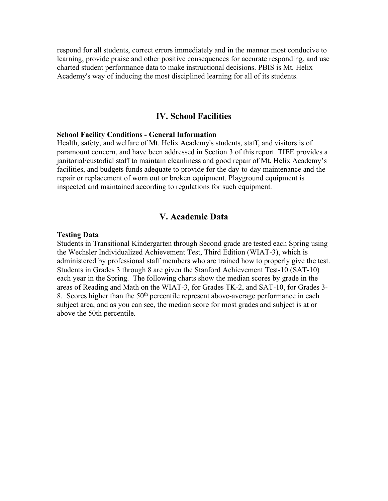respond for all students, correct errors immediately and in the manner most conducive to learning, provide praise and other positive consequences for accurate responding, and use charted student performance data to make instructional decisions. PBIS is Mt. Helix Academy's way of inducing the most disciplined learning for all of its students.

## **IV. School Facilities**

#### **School Facility Conditions - General Information**

Health, safety, and welfare of Mt. Helix Academy's students, staff, and visitors is of paramount concern, and have been addressed in Section 3 of this report. TIEE provides a janitorial/custodial staff to maintain cleanliness and good repair of Mt. Helix Academy's facilities, and budgets funds adequate to provide for the day-to-day maintenance and the repair or replacement of worn out or broken equipment. Playground equipment is inspected and maintained according to regulations for such equipment.

# **V. Academic Data**

#### **Testing Data**

Students in Transitional Kindergarten through Second grade are tested each Spring using the Wechsler Individualized Achievement Test, Third Edition (WIAT-3), which is administered by professional staff members who are trained how to properly give the test. Students in Grades 3 through 8 are given the Stanford Achievement Test-10 (SAT-10) each year in the Spring. The following charts show the median scores by grade in the areas of Reading and Math on the WIAT-3, for Grades TK-2, and SAT-10, for Grades 3- 8. Scores higher than the  $50<sup>th</sup>$  percentile represent above-average performance in each subject area, and as you can see, the median score for most grades and subject is at or above the 50th percentile.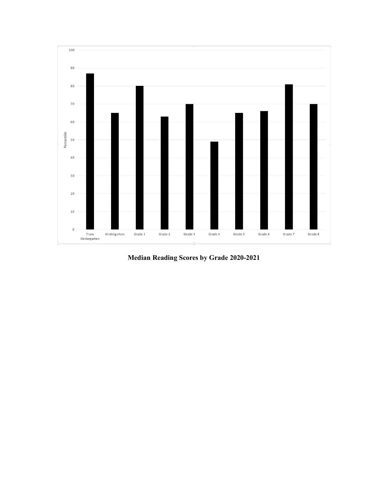

**Median Reading Scores by Grade 2020-2021**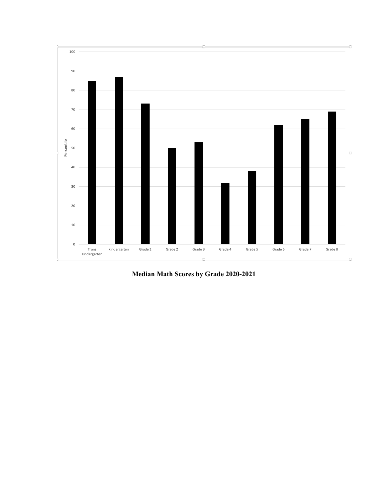

**Median Math Scores by Grade 2020-2021**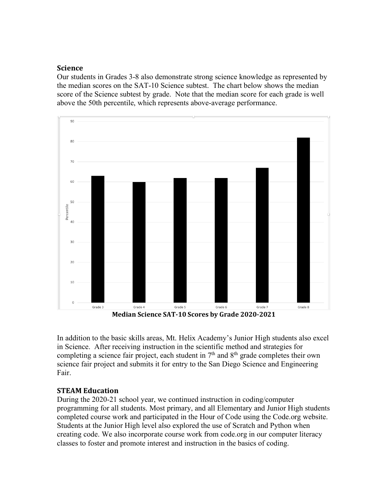# **Science**

Our students in Grades 3-8 also demonstrate strong science knowledge as represented by the median scores on the SAT-10 Science subtest. The chart below shows the median score of the Science subtest by grade. Note that the median score for each grade is well above the 50th percentile, which represents above-average performance.



In addition to the basic skills areas, Mt. Helix Academy's Junior High students also excel in Science. After receiving instruction in the scientific method and strategies for completing a science fair project, each student in  $7<sup>th</sup>$  and  $8<sup>th</sup>$  grade completes their own science fair project and submits it for entry to the San Diego Science and Engineering Fair.

# **STEAM Education**

During the 2020-21 school year, we continued instruction in coding/computer programming for all students. Most primary, and all Elementary and Junior High students completed course work and participated in the Hour of Code using the Code.org website. Students at the Junior High level also explored the use of Scratch and Python when creating code. We also incorporate course work from code.org in our computer literacy classes to foster and promote interest and instruction in the basics of coding.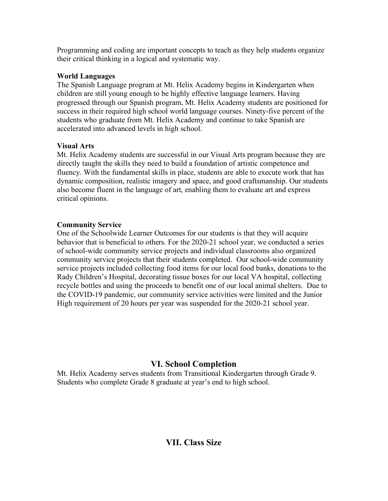Programming and coding are important concepts to teach as they help students organize their critical thinking in a logical and systematic way.

# **World Languages**

The Spanish Language program at Mt. Helix Academy begins in Kindergarten when children are still young enough to be highly effective language learners. Having progressed through our Spanish program, Mt. Helix Academy students are positioned for success in their required high school world language courses. Ninety-five percent of the students who graduate from Mt. Helix Academy and continue to take Spanish are accelerated into advanced levels in high school.

# **Visual Arts**

Mt. Helix Academy students are successful in our Visual Arts program because they are directly taught the skills they need to build a foundation of artistic competence and fluency. With the fundamental skills in place, students are able to execute work that has dynamic composition, realistic imagery and space, and good craftsmanship. Our students also become fluent in the language of art, enabling them to evaluate art and express critical opinions.

# **Community Service**

One of the Schoolwide Learner Outcomes for our students is that they will acquire behavior that is beneficial to others. For the 2020-21 school year, we conducted a series of school-wide community service projects and individual classrooms also organized community service projects that their students completed. Our school-wide community service projects included collecting food items for our local food banks, donations to the Rady Children's Hospital, decorating tissue boxes for our local VA hospital, collecting recycle bottles and using the proceeds to benefit one of our local animal shelters. Due to the COVID-19 pandemic, our community service activities were limited and the Junior High requirement of 20 hours per year was suspended for the 2020-21 school year.

# **VI. School Completion**

Mt. Helix Academy serves students from Transitional Kindergarten through Grade 9. Students who complete Grade 8 graduate at year's end to high school.

# **VII. Class Size**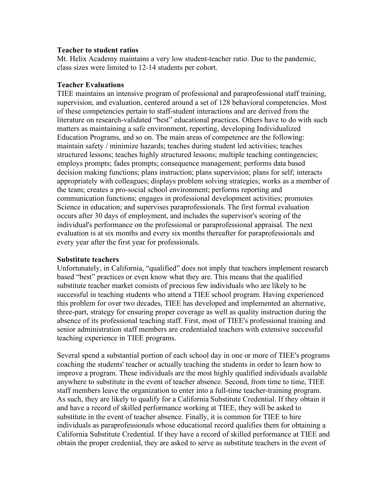### **Teacher to student ratios**

Mt. Helix Academy maintains a very low student-teacher ratio. Due to the pandemic, class sizes were limited to 12-14 students per cohort.

## **Teacher Evaluations**

TIEE maintains an intensive program of professional and paraprofessional staff training, supervision, and evaluation, centered around a set of 128 behavioral competencies. Most of these competencies pertain to staff-student interactions and are derived from the literature on research-validated "best" educational practices. Others have to do with such matters as maintaining a safe environment, reporting, developing Individualized Education Programs, and so on. The main areas of competence are the following: maintain safety / minimize hazards; teaches during student led activities; teaches structured lessons; teaches highly structured lessons; multiple teaching contingencies; employs prompts; fades prompts; consequence management; performs data based decision making functions; plans instruction; plans supervision; plans for self; interacts appropriately with colleagues; displays problem solving strategies; works as a member of the team; creates a pro-social school environment; performs reporting and communication functions; engages in professional development activities; promotes Science in education; and supervises paraprofessionals. The first formal evaluation occurs after 30 days of employment, and includes the supervisor's scoring of the individual's performance on the professional or paraprofessional appraisal. The next evaluation is at six months and every six months thereafter for paraprofessionals and every year after the first year for professionals.

## **Substitute teachers**

Unfortunately, in California, "qualified" does not imply that teachers implement research based "best" practices or even know what they are. This means that the qualified substitute teacher market consists of precious few individuals who are likely to be successful in teaching students who attend a TIEE school program. Having experienced this problem for over two decades, TIEE has developed and implemented an alternative, three-part, strategy for ensuring proper coverage as well as quality instruction during the absence of its professional teaching staff. First, most of TIEE's professional training and senior administration staff members are credentialed teachers with extensive successful teaching experience in TIEE programs.

Several spend a substantial portion of each school day in one or more of TIEE's programs coaching the students' teacher or actually teaching the students in order to learn how to improve a program. These individuals are the most highly qualified individuals available anywhere to substitute in the event of teacher absence. Second, from time to time, TIEE staff members leave the organization to enter into a full-time teacher-training program. As such, they are likely to qualify for a California Substitute Credential. If they obtain it and have a record of skilled performance working at TIEE, they will be asked to substitute in the event of teacher absence. Finally, it is common for TIEE to hire individuals as paraprofessionals whose educational record qualifies them for obtaining a California Substitute Credential. If they have a record of skilled performance at TIEE and obtain the proper credential, they are asked to serve as substitute teachers in the event of